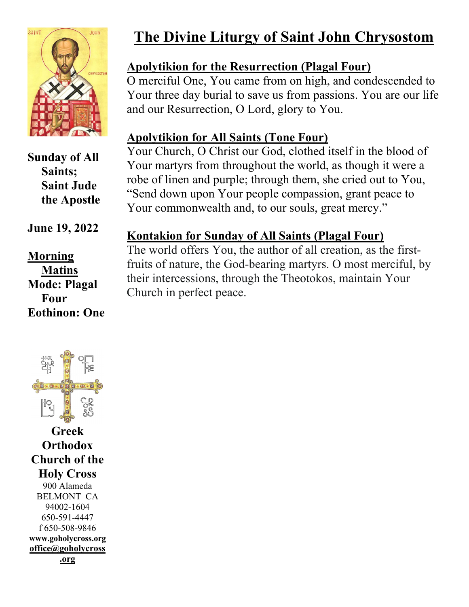

**Sunday of All Saints; Saint Jude the Apostle**

#### **June 19, 2022**

**Morning Matins Mode: Plagal Four Eothinon: One**



**Greek Orthodox Church of the Holy Cross** 900 Alameda BELMONT CA 94002-1604 650-591-4447 f 650-508-9846 **[www.goholycross.org](http://www.goholycross.org/) office@goholycross** 

## **The Divine Liturgy of Saint John Chrysostom**

#### **Apolytikion for the Resurrection (Plagal Four)**

O merciful One, You came from on high, and condescended to Your three day burial to save us from passions. You are our life and our Resurrection, O Lord, glory to You.

#### **Apolytikion for All Saints (Tone Four)**

Your Church, O Christ our God, clothed itself in the blood of Your martyrs from throughout the world, as though it were a robe of linen and purple; through them, she cried out to You, "Send down upon Your people compassion, grant peace to Your commonwealth and, to our souls, great mercy."

#### **Kontakion for Sunday of All Saints (Plagal Four)**

The world offers You, the author of all creation, as the firstfruits of nature, the God-bearing martyrs. O most merciful, by their intercessions, through the Theotokos, maintain Your Church in perfect peace.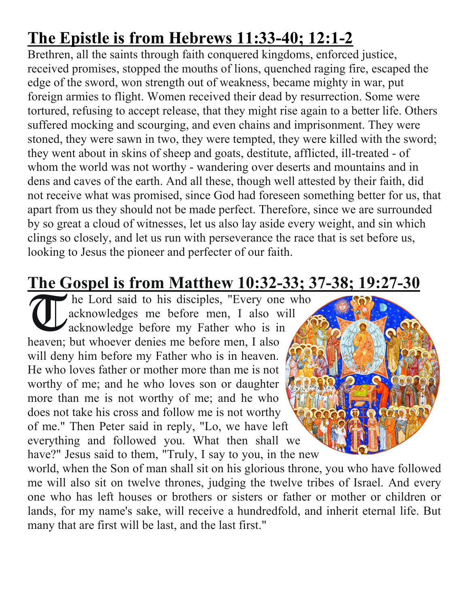# **The Epistle is from Hebrews 11:33-40; 12:1-2**

Brethren, all the saints through faith conquered kingdoms, enforced justice, received promises, stopped the mouths of lions, quenched raging fire, escaped the edge of the sword, won strength out of weakness, became mighty in war, put foreign armies to flight. Women received their dead by resurrection. Some were tortured, refusing to accept release, that they might rise again to a better life. Others suffered mocking and scourging, and even chains and imprisonment. They were stoned, they were sawn in two, they were tempted, they were killed with the sword; they went about in skins of sheep and goats, destitute, afflicted, ill-treated - of whom the world was not worthy - wandering over deserts and mountains and in dens and caves of the earth. And all these, though well attested by their faith, did not receive what was promised, since God had foreseen something better for us, that apart from us they should not be made perfect. Therefore, since we are surrounded by so great a cloud of witnesses, let us also lay aside every weight, and sin which clings so closely, and let us run with perseverance the race that is set before us, looking to Jesus the pioneer and perfecter of our faith.

## **The Gospel is from Matthew 10:32-33; 37-38; 19:27-30**

he Lord said to his disciples, "Every one who acknowledges me before men, I also will acknowledge before my Father who is in heaven; but whoever denies me before men, I also will deny him before my Father who is in heaven. He who loves father or mother more than me is not worthy of me; and he who loves son or daughter more than me is not worthy of me; and he who does not take his cross and follow me is not worthy of me." Then Peter said in reply, "Lo, we have left everything and followed you. What then shall we have?" Jesus said to them, "Truly, I say to you, in the new **T** 

world, when the Son of man shall sit on his glorious throne, you who have followed me will also sit on twelve thrones, judging the twelve tribes of Israel. And every one who has left houses or brothers or sisters or father or mother or children or lands, for my name's sake, will receive a hundredfold, and inherit eternal life. But many that are first will be last, and the last first."